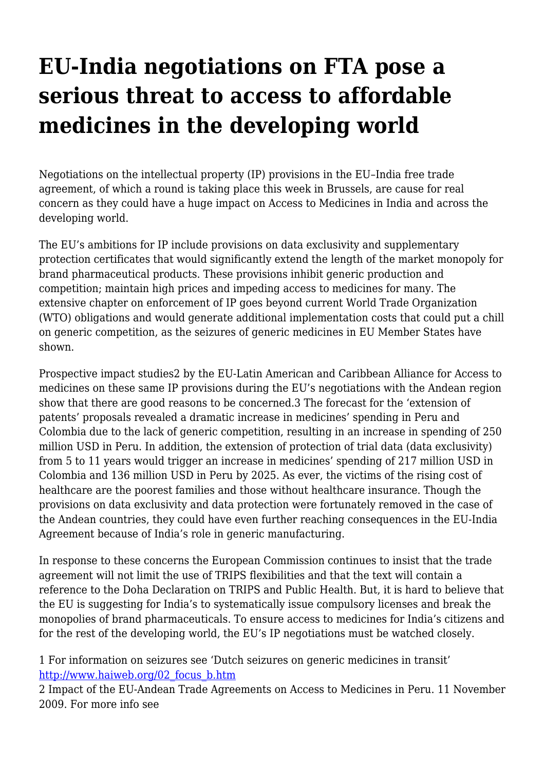## **EU-India negotiations on FTA pose a serious threat to access to affordable medicines in the developing world**

Negotiations on the intellectual property (IP) provisions in the EU–India free trade agreement, of which a round is taking place this week in Brussels, are cause for real concern as they could have a huge impact on Access to Medicines in India and across the developing world.

The EU's ambitions for IP include provisions on data exclusivity and supplementary protection certificates that would significantly extend the length of the market monopoly for brand pharmaceutical products. These provisions inhibit generic production and competition; maintain high prices and impeding access to medicines for many. The extensive chapter on enforcement of IP goes beyond current World Trade Organization (WTO) obligations and would generate additional implementation costs that could put a chill on generic competition, as the seizures of generic medicines in EU Member States have shown.

Prospective impact studies2 by the EU-Latin American and Caribbean Alliance for Access to medicines on these same IP provisions during the EU's negotiations with the Andean region show that there are good reasons to be concerned.3 The forecast for the 'extension of patents' proposals revealed a dramatic increase in medicines' spending in Peru and Colombia due to the lack of generic competition, resulting in an increase in spending of 250 million USD in Peru. In addition, the extension of protection of trial data (data exclusivity) from 5 to 11 years would trigger an increase in medicines' spending of 217 million USD in Colombia and 136 million USD in Peru by 2025. As ever, the victims of the rising cost of healthcare are the poorest families and those without healthcare insurance. Though the provisions on data exclusivity and data protection were fortunately removed in the case of the Andean countries, they could have even further reaching consequences in the EU-India Agreement because of India's role in generic manufacturing.

In response to these concerns the European Commission continues to insist that the trade agreement will not limit the use of TRIPS flexibilities and that the text will contain a reference to the Doha Declaration on TRIPS and Public Health. But, it is hard to believe that the EU is suggesting for India's to systematically issue compulsory licenses and break the monopolies of brand pharmaceuticals. To ensure access to medicines for India's citizens and for the rest of the developing world, the EU's IP negotiations must be watched closely.

1 For information on seizures see 'Dutch seizures on generic medicines in transit' [http://www.haiweb.org/02\\_focus\\_b.htm](http://www.haiweb.org/02_focus_b.htm)

2 Impact of the EU-Andean Trade Agreements on Access to Medicines in Peru. 11 November 2009. For more info see